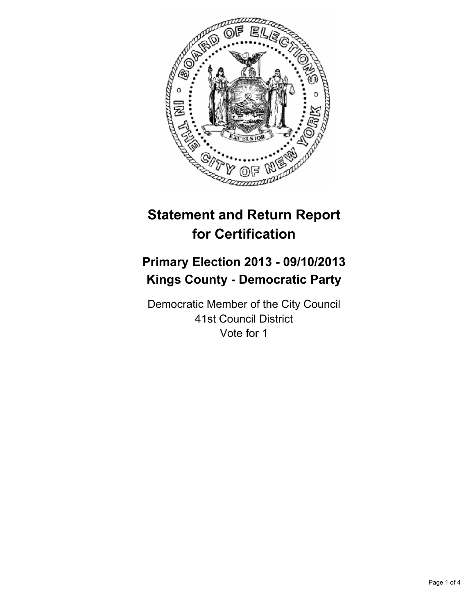

# **Statement and Return Report for Certification**

# **Primary Election 2013 - 09/10/2013 Kings County - Democratic Party**

Democratic Member of the City Council 41st Council District Vote for 1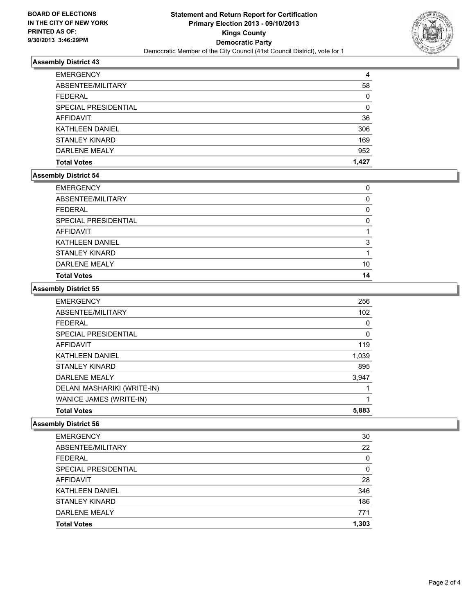

# **Assembly District 43**

| <b>EMERGENCY</b>       | 4     |
|------------------------|-------|
| ABSENTEE/MILITARY      | 58    |
| <b>FEDERAL</b>         | 0     |
| SPECIAL PRESIDENTIAL   | 0     |
| AFFIDAVIT              | 36    |
| <b>KATHLEEN DANIEL</b> | 306   |
| <b>STANLEY KINARD</b>  | 169   |
| DARLENE MEALY          | 952   |
| <b>Total Votes</b>     | 1.427 |

### **Assembly District 54**

| <b>Total Votes</b>     | 14 |
|------------------------|----|
| DARLENE MEALY          | 10 |
| <b>STANLEY KINARD</b>  |    |
| <b>KATHLEEN DANIEL</b> | 3  |
| AFFIDAVIT              |    |
| SPECIAL PRESIDENTIAL   | 0  |
| <b>FEDERAL</b>         | 0  |
| ABSENTEE/MILITARY      | 0  |
| <b>EMERGENCY</b>       | 0  |

#### **Assembly District 55**

| <b>EMERGENCY</b>            | 256   |
|-----------------------------|-------|
| ABSENTEE/MILITARY           | 102   |
| <b>FEDERAL</b>              | 0     |
| SPECIAL PRESIDENTIAL        | 0     |
| <b>AFFIDAVIT</b>            | 119   |
| <b>KATHLEEN DANIEL</b>      | 1,039 |
| <b>STANLEY KINARD</b>       | 895   |
| DARLENE MEALY               | 3,947 |
| DELANI MASHARIKI (WRITE-IN) |       |
| WANICE JAMES (WRITE-IN)     |       |
| <b>Total Votes</b>          | 5,883 |

### **Assembly District 56**

| <b>Total Votes</b>     | 1,303 |
|------------------------|-------|
| DARLENE MEALY          | 771   |
| <b>STANLEY KINARD</b>  | 186   |
| <b>KATHLEEN DANIEL</b> | 346   |
| AFFIDAVIT              | 28    |
| SPECIAL PRESIDENTIAL   | 0     |
| <b>FEDERAL</b>         | 0     |
| ABSENTEE/MILITARY      | 22    |
| <b>EMERGENCY</b>       | 30    |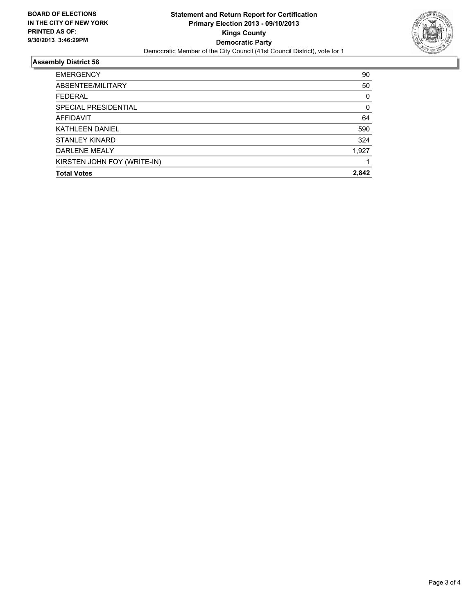

# **Assembly District 58**

| <b>Total Votes</b>          | 2.842 |
|-----------------------------|-------|
| KIRSTEN JOHN FOY (WRITE-IN) |       |
| DARLENE MEALY               | 1,927 |
| <b>STANLEY KINARD</b>       | 324   |
| <b>KATHLEEN DANIEL</b>      | 590   |
| AFFIDAVIT                   | 64    |
| SPECIAL PRESIDENTIAL        | 0     |
| <b>FEDERAL</b>              | 0     |
| ABSENTEE/MILITARY           | 50    |
| <b>EMERGENCY</b>            | 90    |